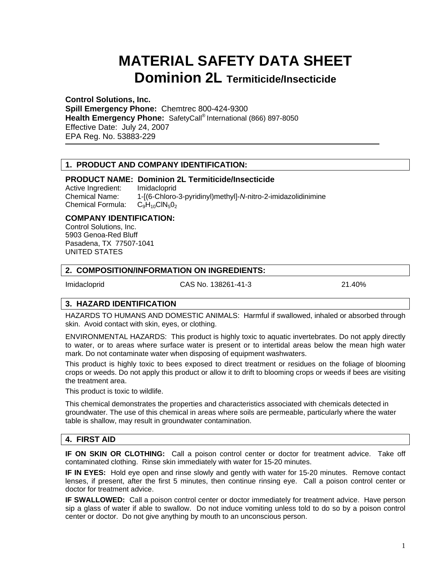# **MATERIAL SAFETY DATA SHEET Dominion 2L Termiticide/Insecticide**

**Control Solutions, Inc. Spill Emergency Phone:** Chemtrec 800-424-9300 **Health Emergency Phone:** SafetyCall® International (866) 897-8050 Effective Date: July 24, 2007 EPA Reg. No. 53883-229

# **1. PRODUCT AND COMPANY IDENTIFICATION:**

## **PRODUCT NAME: Dominion 2L Termiticide/Insecticide**

Active Ingredient: Imidacloprid Chemical Name: 1-[(6-Chloro-3-pyridinyl)methyl]-*N*-nitro-2-imidazolidinimine Chemical Formula:  $C_9H_{10}CIN_5O_2$ 

#### **COMPANY IDENTIFICATION:**

Control Solutions, Inc. 5903 Genoa-Red Bluff Pasadena, TX 77507-1041 UNITED STATES

#### **2. COMPOSITION/INFORMATION ON INGREDIENTS:**

Imidacloprid CAS No. 138261-41-3 21.40%

# **3. HAZARD IDENTIFICATION**

HAZARDS TO HUMANS AND DOMESTIC ANIMALS: Harmful if swallowed, inhaled or absorbed through skin. Avoid contact with skin, eyes, or clothing.

ENVIRONMENTAL HAZARDS: This product is highly toxic to aquatic invertebrates. Do not apply directly to water, or to areas where surface water is present or to intertidal areas below the mean high water mark. Do not contaminate water when disposing of equipment washwaters.

This product is highly toxic to bees exposed to direct treatment or residues on the foliage of blooming crops or weeds. Do not apply this product or allow it to drift to blooming crops or weeds if bees are visiting the treatment area.

This product is toxic to wildlife.

This chemical demonstrates the properties and characteristics associated with chemicals detected in groundwater. The use of this chemical in areas where soils are permeable, particularly where the water table is shallow, may result in groundwater contamination.

# **4. FIRST AID**

**IF ON SKIN OR CLOTHING:** Call a poison control center or doctor for treatment advice. Take off contaminated clothing. Rinse skin immediately with water for 15-20 minutes.

**IF IN EYES:** Hold eye open and rinse slowly and gently with water for 15-20 minutes. Remove contact lenses, if present, after the first 5 minutes, then continue rinsing eye. Call a poison control center or doctor for treatment advice.

**IF SWALLOWED:** Call a poison control center or doctor immediately for treatment advice. Have person sip a glass of water if able to swallow. Do not induce vomiting unless told to do so by a poison control center or doctor. Do not give anything by mouth to an unconscious person.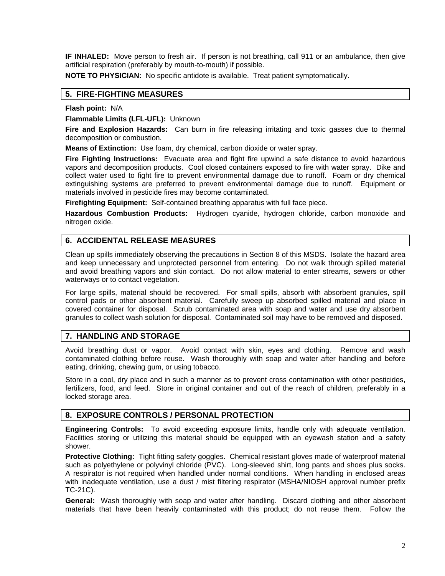**IF INHALED:** Move person to fresh air. If person is not breathing, call 911 or an ambulance, then give artificial respiration (preferably by mouth-to-mouth) if possible.

**NOTE TO PHYSICIAN:** No specific antidote is available. Treat patient symptomatically.

## **5. FIRE-FIGHTING MEASURES**

#### **Flash point:** N/A

**Flammable Limits (LFL-UFL):** Unknown

**Fire and Explosion Hazards:** Can burn in fire releasing irritating and toxic gasses due to thermal decomposition or combustion.

**Means of Extinction:** Use foam, dry chemical, carbon dioxide or water spray.

**Fire Fighting Instructions:** Evacuate area and fight fire upwind a safe distance to avoid hazardous vapors and decomposition products. Cool closed containers exposed to fire with water spray. Dike and collect water used to fight fire to prevent environmental damage due to runoff. Foam or dry chemical extinguishing systems are preferred to prevent environmental damage due to runoff. Equipment or materials involved in pesticide fires may become contaminated.

**Firefighting Equipment:** Self-contained breathing apparatus with full face piece.

**Hazardous Combustion Products:** Hydrogen cyanide, hydrogen chloride, carbon monoxide and nitrogen oxide.

# **6. ACCIDENTAL RELEASE MEASURES**

Clean up spills immediately observing the precautions in Section 8 of this MSDS. Isolate the hazard area and keep unnecessary and unprotected personnel from entering. Do not walk through spilled material and avoid breathing vapors and skin contact. Do not allow material to enter streams, sewers or other waterways or to contact vegetation.

For large spills, material should be recovered. For small spills, absorb with absorbent granules, spill control pads or other absorbent material. Carefully sweep up absorbed spilled material and place in covered container for disposal. Scrub contaminated area with soap and water and use dry absorbent granules to collect wash solution for disposal. Contaminated soil may have to be removed and disposed.

# **7. HANDLING AND STORAGE**

Avoid breathing dust or vapor. Avoid contact with skin, eyes and clothing. Remove and wash contaminated clothing before reuse. Wash thoroughly with soap and water after handling and before eating, drinking, chewing gum, or using tobacco.

Store in a cool, dry place and in such a manner as to prevent cross contamination with other pesticides, fertilizers, food, and feed. Store in original container and out of the reach of children, preferably in a locked storage area.

#### **8. EXPOSURE CONTROLS / PERSONAL PROTECTION**

**Engineering Controls:** To avoid exceeding exposure limits, handle only with adequate ventilation. Facilities storing or utilizing this material should be equipped with an eyewash station and a safety shower.

**Protective Clothing:** Tight fitting safety goggles. Chemical resistant gloves made of waterproof material such as polyethylene or polyvinyl chloride (PVC). Long-sleeved shirt, long pants and shoes plus socks. A respirator is not required when handled under normal conditions. When handling in enclosed areas with inadequate ventilation, use a dust / mist filtering respirator (MSHA/NIOSH approval number prefix TC-21C).

**General:** Wash thoroughly with soap and water after handling. Discard clothing and other absorbent materials that have been heavily contaminated with this product; do not reuse them. Follow the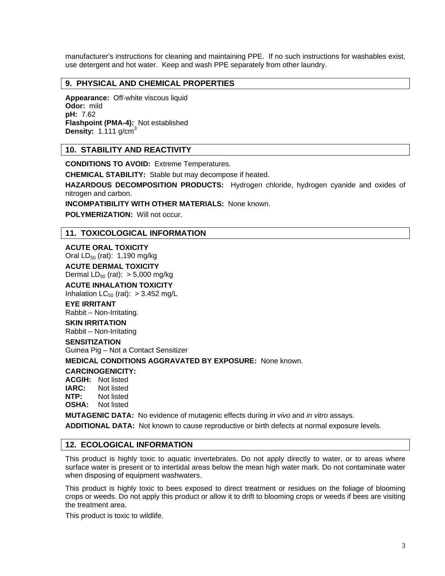manufacturer's instructions for cleaning and maintaining PPE. If no such instructions for washables exist, use detergent and hot water. Keep and wash PPE separately from other laundry.

## **9. PHYSICAL AND CHEMICAL PROPERTIES**

**Appearance:** Off-white viscous liquid **Odor:** mild **pH:** 7.62 **Flashpoint (PMA-4):** Not established **Density:** 1.111 g/cm<sup>3</sup>

## **10. STABILITY AND REACTIVITY**

**CONDITIONS TO AVOID:** Extreme Temperatures.

**CHEMICAL STABILITY:** Stable but may decompose if heated.

**HAZARDOUS DECOMPOSITION PRODUCTS:** Hydrogen chloride, hydrogen cyanide and oxides of nitrogen and carbon.

**INCOMPATIBILITY WITH OTHER MATERIALS:** None known.

**POLYMERIZATION:** Will not occur.

## **11. TOXICOLOGICAL INFORMATION**

#### **ACUTE ORAL TOXICITY**

Oral  $LD_{50}$  (rat): 1,190 mg/kg **ACUTE DERMAL TOXICITY** 

Dermal  $LD_{50}$  (rat):  $> 5,000$  mg/kg

**ACUTE INHALATION TOXICITY**  Inhalation  $LC_{50}$  (rat):  $> 3.452$  mg/L

## **EYE IRRITANT**

Rabbit – Non-Irritating.

#### **SKIN IRRITATION**  Rabbit – Non-Irritating

# **SENSITIZATION**

Guinea Pig – Not a Contact Sensitizer

**MEDICAL CONDITIONS AGGRAVATED BY EXPOSURE:** None known.

#### **CARCINOGENICITY:**

**ACGIH:** Not listed **IARC:** Not listed **NTP:** Not listed

#### **OSHA:** Not listed

**MUTAGENIC DATA:** No evidence of mutagenic effects during *in vivo* and *in vitro* assays.

**ADDITIONAL DATA:** Not known to cause reproductive or birth defects at normal exposure levels.

## **12. ECOLOGICAL INFORMATION**

This product is highly toxic to aquatic invertebrates. Do not apply directly to water, or to areas where surface water is present or to intertidal areas below the mean high water mark. Do not contaminate water when disposing of equipment washwaters.

This product is highly toxic to bees exposed to direct treatment or residues on the foliage of blooming crops or weeds. Do not apply this product or allow it to drift to blooming crops or weeds if bees are visiting the treatment area.

This product is toxic to wildlife.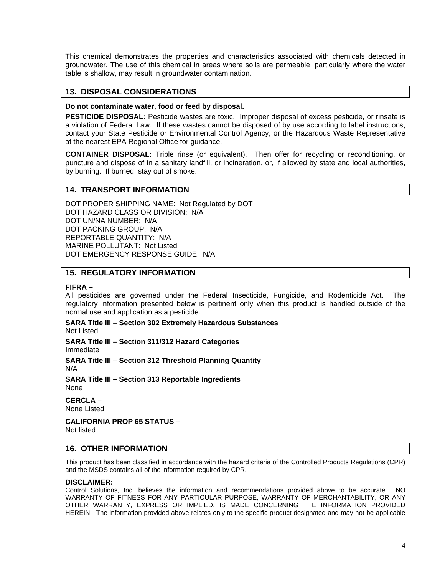This chemical demonstrates the properties and characteristics associated with chemicals detected in groundwater. The use of this chemical in areas where soils are permeable, particularly where the water table is shallow, may result in groundwater contamination.

## **13. DISPOSAL CONSIDERATIONS**

#### **Do not contaminate water, food or feed by disposal.**

**PESTICIDE DISPOSAL:** Pesticide wastes are toxic. Improper disposal of excess pesticide, or rinsate is a violation of Federal Law. If these wastes cannot be disposed of by use according to label instructions, contact your State Pesticide or Environmental Control Agency, or the Hazardous Waste Representative at the nearest EPA Regional Office for guidance.

**CONTAINER DISPOSAL:** Triple rinse (or equivalent). Then offer for recycling or reconditioning, or puncture and dispose of in a sanitary landfill, or incineration, or, if allowed by state and local authorities, by burning. If burned, stay out of smoke.

#### **14. TRANSPORT INFORMATION**

DOT PROPER SHIPPING NAME: Not Regulated by DOT DOT HAZARD CLASS OR DIVISION: N/A DOT UN/NA NUMBER: N/A DOT PACKING GROUP: N/A REPORTABLE QUANTITY: N/A MARINE POLLUTANT: Not Listed DOT EMERGENCY RESPONSE GUIDE: N/A

#### **15. REGULATORY INFORMATION**

#### **FIFRA –**

All pesticides are governed under the Federal Insecticide, Fungicide, and Rodenticide Act. The regulatory information presented below is pertinent only when this product is handled outside of the normal use and application as a pesticide.

#### **SARA Title III – Section 302 Extremely Hazardous Substances**  Not Listed

**SARA Title III – Section 311/312 Hazard Categories**  Immediate

**SARA Title III – Section 312 Threshold Planning Quantity**  N/A

**SARA Title III – Section 313 Reportable Ingredients**  None

**CERCLA –**  None Listed

**CALIFORNIA PROP 65 STATUS –**  Not listed

#### **16. OTHER INFORMATION**

This product has been classified in accordance with the hazard criteria of the Controlled Products Regulations (CPR) and the MSDS contains all of the information required by CPR.

#### **DISCLAIMER:**

Control Solutions, Inc. believes the information and recommendations provided above to be accurate. NO WARRANTY OF FITNESS FOR ANY PARTICULAR PURPOSE, WARRANTY OF MERCHANTABILITY, OR ANY OTHER WARRANTY, EXPRESS OR IMPLIED, IS MADE CONCERNING THE INFORMATION PROVIDED HEREIN. The information provided above relates only to the specific product designated and may not be applicable